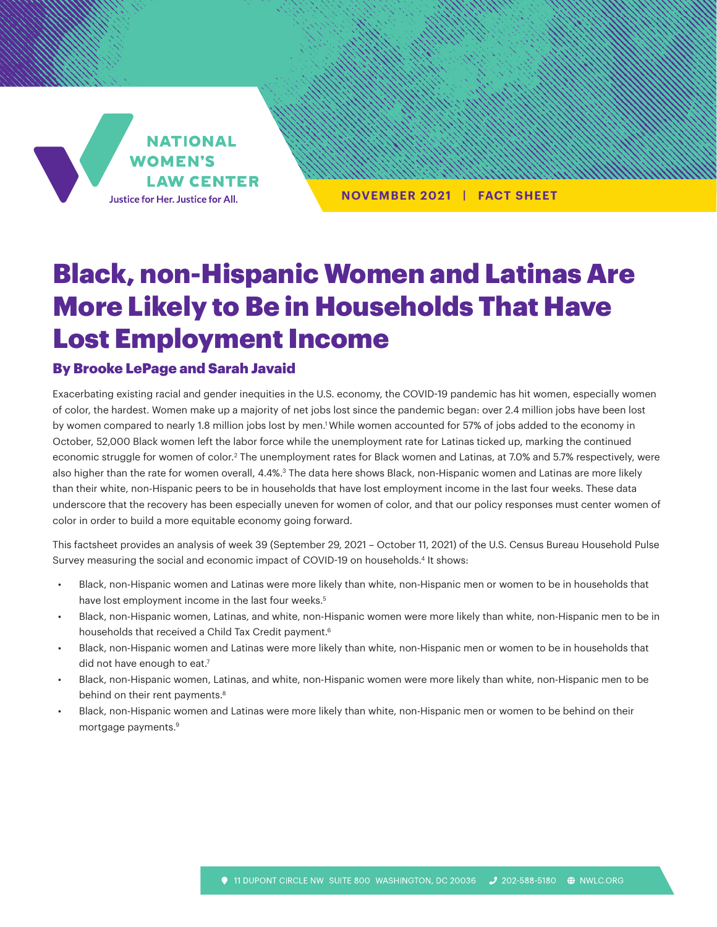**NATIONAL WOMEN'S LAW CENTER** Justice for Her. Justice for All.

**NOVEMBER 2021 | FACT SHEET**

# Black, non-Hispanic Women and Latinas Are More Likely to Be in Households That Have Lost Employment Income

#### By Brooke LePage and Sarah Javaid

Exacerbating existing racial and gender inequities in the U.S. economy, the COVID-19 pandemic has hit women, especially women of color, the hardest. Women make up a majority of net jobs lost since the pandemic began: over 2.4 million jobs have been lost by women compared to nearly 1.8 million jobs lost by men.<sup>1</sup> While women accounted for 57% of jobs added to the economy in October, 52,000 Black women left the labor force while the unemployment rate for Latinas ticked up, marking the continued economic struggle for women of color.<sup>2</sup> The unemployment rates for Black women and Latinas, at 7.0% and 5.7% respectively, were also higher than the rate for women overall, 4.4%.<sup>3</sup> The data here shows Black, non-Hispanic women and Latinas are more likely than their white, non-Hispanic peers to be in households that have lost employment income in the last four weeks. These data underscore that the recovery has been especially uneven for women of color, and that our policy responses must center women of color in order to build a more equitable economy going forward.

This factsheet provides an analysis of week 39 (September 29, 2021 – October 11, 2021) of the U.S. Census Bureau Household Pulse Survey measuring the social and economic impact of COVID-19 on households.4 It shows:

- Black, non-Hispanic women and Latinas were more likely than white, non-Hispanic men or women to be in households that have lost employment income in the last four weeks.<sup>5</sup>
- Black, non-Hispanic women, Latinas, and white, non-Hispanic women were more likely than white, non-Hispanic men to be in households that received a Child Tax Credit payment.<sup>6</sup>
- Black, non-Hispanic women and Latinas were more likely than white, non-Hispanic men or women to be in households that did not have enough to eat.<sup>7</sup>
- Black, non-Hispanic women, Latinas, and white, non-Hispanic women were more likely than white, non-Hispanic men to be behind on their rent payments.<sup>8</sup>
- Black, non-Hispanic women and Latinas were more likely than white, non-Hispanic men or women to be behind on their mortgage payments.9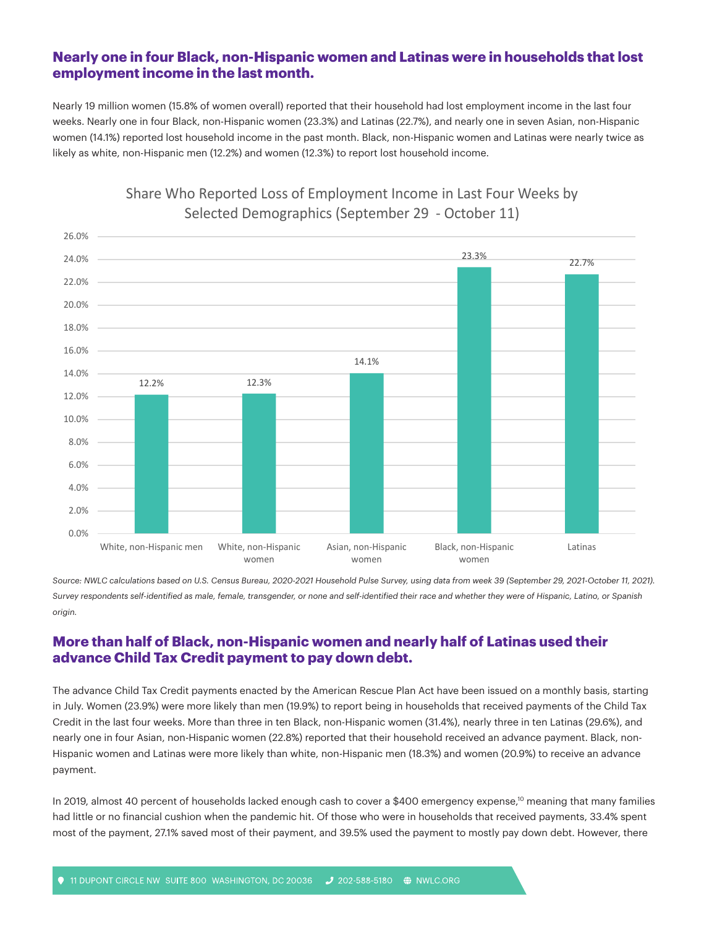### **Nearly one in four Black, non-Hispanic women and Latinas were in households that lost employment income in the last month.**

Nearly 19 million women (15.8% of women overall) reported that their household had lost employment income in the last four weeks. Nearly one in four Black, non-Hispanic women (23.3%) and Latinas (22.7%), and nearly one in seven Asian, non-Hispanic women (14.1%) reported lost household income in the past month. Black, non-Hispanic women and Latinas were nearly twice as likely as white, non-Hispanic men (12.2%) and women (12.3%) to report lost household income.



# Share Who Reported Loss of Employment Income in Last Four Weeks by Selected Demographics (September 29 - October 11)

Source: NWLC calculations based on U.S. Census Bureau, 2020-2021 Household Pulse Survey, using data from week 39 (September 29, 2021-October 11, 2021). *Survey respondents self-identified as male, female, transgender, or none and self-identified their race and whether they were of Hispanic, Latino, or Spanish origin.*

## **More than half of Black, non-Hispanic women and nearly half of Latinas used their advance Child Tax Credit payment to pay down debt.**

The advance Child Tax Credit payments enacted by the American Rescue Plan Act have been issued on a monthly basis, starting in July. Women (23.9%) were more likely than men (19.9%) to report being in households that received payments of the Child Tax Credit in the last four weeks. More than three in ten Black, non-Hispanic women (31.4%), nearly three in ten Latinas (29.6%), and nearly one in four Asian, non-Hispanic women (22.8%) reported that their household received an advance payment. Black, non-Hispanic women and Latinas were more likely than white, non-Hispanic men (18.3%) and women (20.9%) to receive an advance payment.

In 2019, almost 40 percent of households lacked enough cash to cover a \$400 emergency expense,<sup>10</sup> meaning that many families had little or no financial cushion when the pandemic hit. Of those who were in households that received payments, 33.4% spent most of the payment, 27.1% saved most of their payment, and 39.5% used the payment to mostly pay down debt. However, there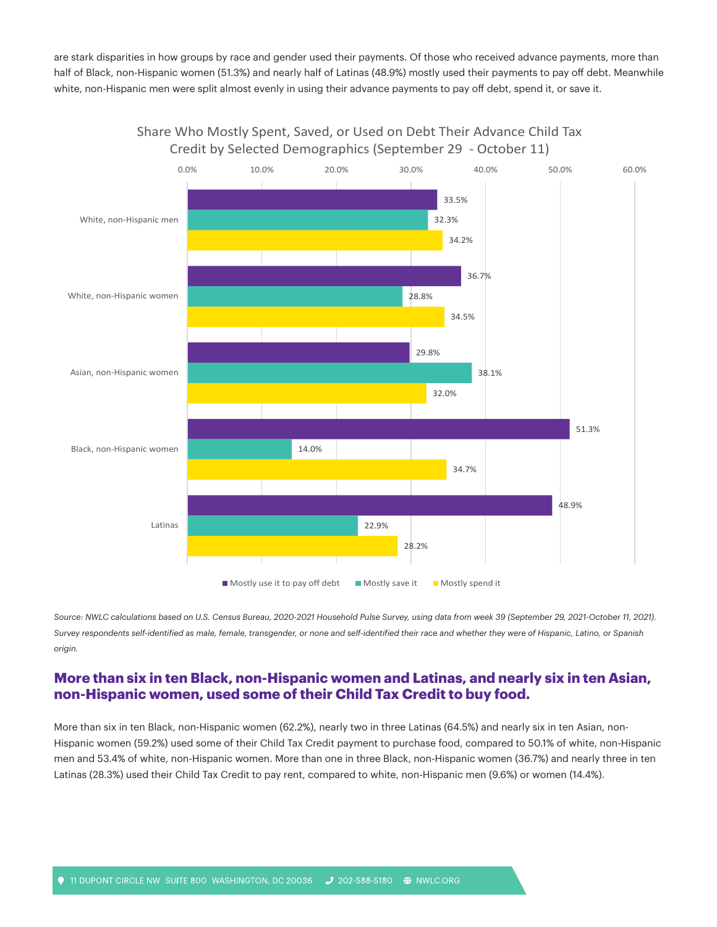are stark disparities in how groups by race and gender used their payments. Of those who received advance payments, more than half of Black, non-Hispanic women (51.3%) and nearly half of Latinas (48.9%) mostly used their payments to pay off debt. Meanwhile white, non-Hispanic men were split almost evenly in using their advance payments to pay off debt, spend it, or save it.



Share Who Mostly Spent, Saved, or Used on Debt Their Advance Child Tax Credit by Selected Demographics (September 29 - October 11)

Source: NWLC calculations based on U.S. Census Bureau, 2020-2021 Household Pulse Survey, using data from week 39 (September 29, 2021-October 11, 2021). *Survey respondents self-identified as male, female, transgender, or none and self-identified their race and whether they were of Hispanic, Latino, or Spanish origin.*

#### **More than six in ten Black, non-Hispanic women and Latinas, and nearly six in ten Asian, non-Hispanic women, used some of their Child Tax Credit to buy food.**

More than six in ten Black, non-Hispanic women (62.2%), nearly two in three Latinas (64.5%) and nearly six in ten Asian, non-Hispanic women (59.2%) used some of their Child Tax Credit payment to purchase food, compared to 50.1% of white, non-Hispanic men and 53.4% of white, non-Hispanic women. More than one in three Black, non-Hispanic women (36.7%) and nearly three in ten Latinas (28.3%) used their Child Tax Credit to pay rent, compared to white, non-Hispanic men (9.6%) or women (14.4%).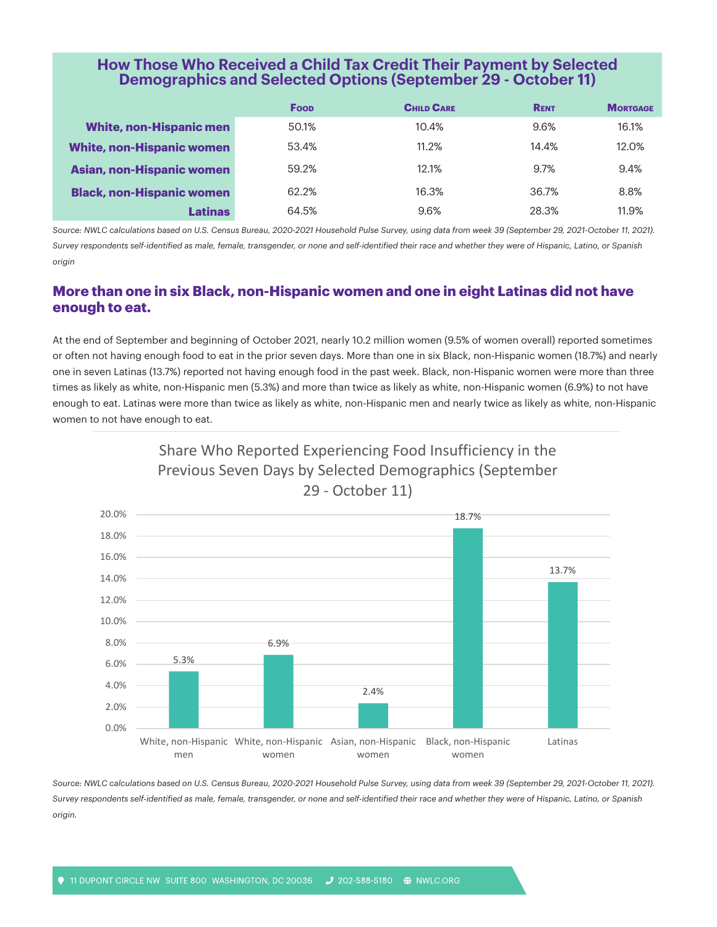## **How Those Who Received a Child Tax Credit Their Payment by Selected Demographics and Selected Options (September 29 - October 11)**

|                                  | <b>Foop</b> | <b>CHILD CARE</b> | <b>RENT</b> | <b>MORTGAGE</b> |
|----------------------------------|-------------|-------------------|-------------|-----------------|
| <b>White, non-Hispanic men</b>   | 50.1%       | 10.4%             | 9.6%        | 16.1%           |
| <b>White, non-Hispanic women</b> | 53.4%       | 11.2%             | 14.4%       | 12.0%           |
| <b>Asian, non-Hispanic women</b> | 59.2%       | 12.1%             | 9.7%        | 9.4%            |
| <b>Black, non-Hispanic women</b> | 62.2%       | 16.3%             | 36.7%       | 8.8%            |
| <b>Latinas</b>                   | 64.5%       | 9.6%              | 28.3%       | 11.9%           |

Source: NWLC calculations based on U.S. Census Bureau, 2020-2021 Household Pulse Survey, using data from week 39 (September 29, 2021-October 11, 2021). *Survey respondents self-identified as male, female, transgender, or none and self-identified their race and whether they were of Hispanic, Latino, or Spanish origin*

## **More than one in six Black, non-Hispanic women and one in eight Latinas did not have enough to eat.**

At the end of September and beginning of October 2021, nearly 10.2 million women (9.5% of women overall) reported sometimes or often not having enough food to eat in the prior seven days. More than one in six Black, non-Hispanic women (18.7%) and nearly one in seven Latinas (13.7%) reported not having enough food in the past week. Black, non-Hispanic women were more than three times as likely as white, non-Hispanic men (5.3%) and more than twice as likely as white, non-Hispanic women (6.9%) to not have enough to eat. Latinas were more than twice as likely as white, non-Hispanic men and nearly twice as likely as white, non-Hispanic women to not have enough to eat.





Source: NWLC calculations based on U.S. Census Bureau, 2020-2021 Household Pulse Survey, using data from week 39 (September 29, 2021-October 11, 2021). *Survey respondents self-identified as male, female, transgender, or none and self-identified their race and whether they were of Hispanic, Latino, or Spanish origin.*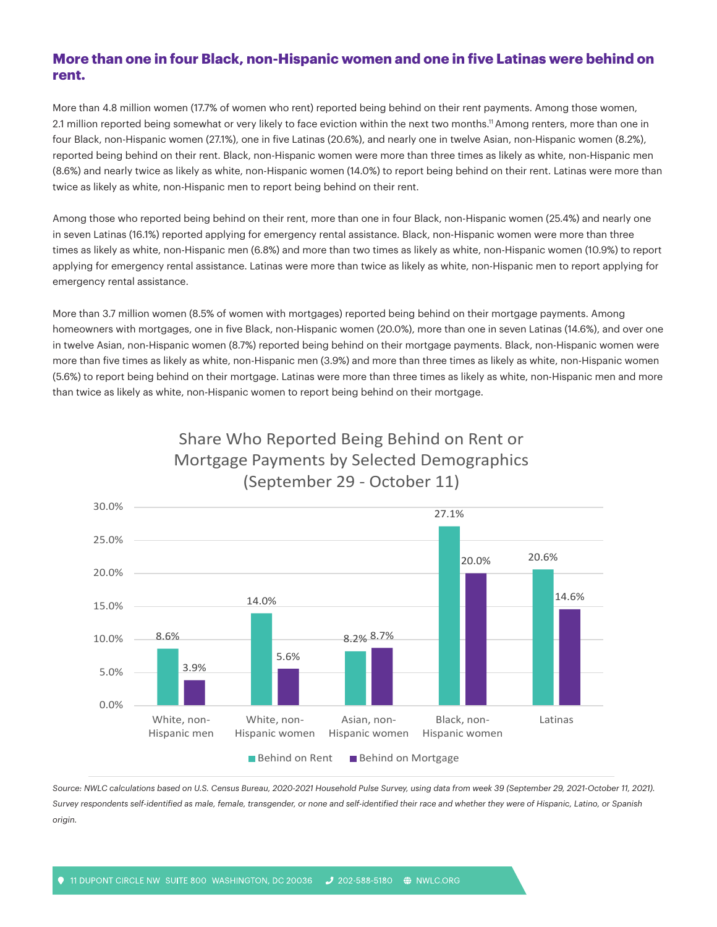### **More than one in four Black, non-Hispanic women and one in five Latinas were behind on rent.**

More than 4.8 million women (17.7% of women who rent) reported being behind on their rent payments. Among those women, 2.1 million reported being somewhat or very likely to face eviction within the next two months.11 Among renters, more than one in four Black, non-Hispanic women (27.1%), one in five Latinas (20.6%), and nearly one in twelve Asian, non-Hispanic women (8.2%), reported being behind on their rent. Black, non-Hispanic women were more than three times as likely as white, non-Hispanic men (8.6%) and nearly twice as likely as white, non-Hispanic women (14.0%) to report being behind on their rent. Latinas were more than twice as likely as white, non-Hispanic men to report being behind on their rent.

Among those who reported being behind on their rent, more than one in four Black, non-Hispanic women (25.4%) and nearly one in seven Latinas (16.1%) reported applying for emergency rental assistance. Black, non-Hispanic women were more than three times as likely as white, non-Hispanic men (6.8%) and more than two times as likely as white, non-Hispanic women (10.9%) to report applying for emergency rental assistance. Latinas were more than twice as likely as white, non-Hispanic men to report applying for emergency rental assistance.

More than 3.7 million women (8.5% of women with mortgages) reported being behind on their mortgage payments. Among homeowners with mortgages, one in five Black, non-Hispanic women (20.0%), more than one in seven Latinas (14.6%), and over one in twelve Asian, non-Hispanic women (8.7%) reported being behind on their mortgage payments. Black, non-Hispanic women were more than five times as likely as white, non-Hispanic men (3.9%) and more than three times as likely as white, non-Hispanic women (5.6%) to report being behind on their mortgage. Latinas were more than three times as likely as white, non-Hispanic men and more than twice as likely as white, non-Hispanic women to report being behind on their mortgage.



# Mortgage Payments by Selected Demographics (September 29 - October 11)

Share Who Reported Being Behind on Rent or

Source: NWLC calculations based on U.S. Census Bureau, 2020-2021 Household Pulse Survey, using data from week 39 (September 29, 2021-October 11, 2021). *Survey respondents self-identified as male, female, transgender, or none and self-identified their race and whether they were of Hispanic, Latino, or Spanish origin.*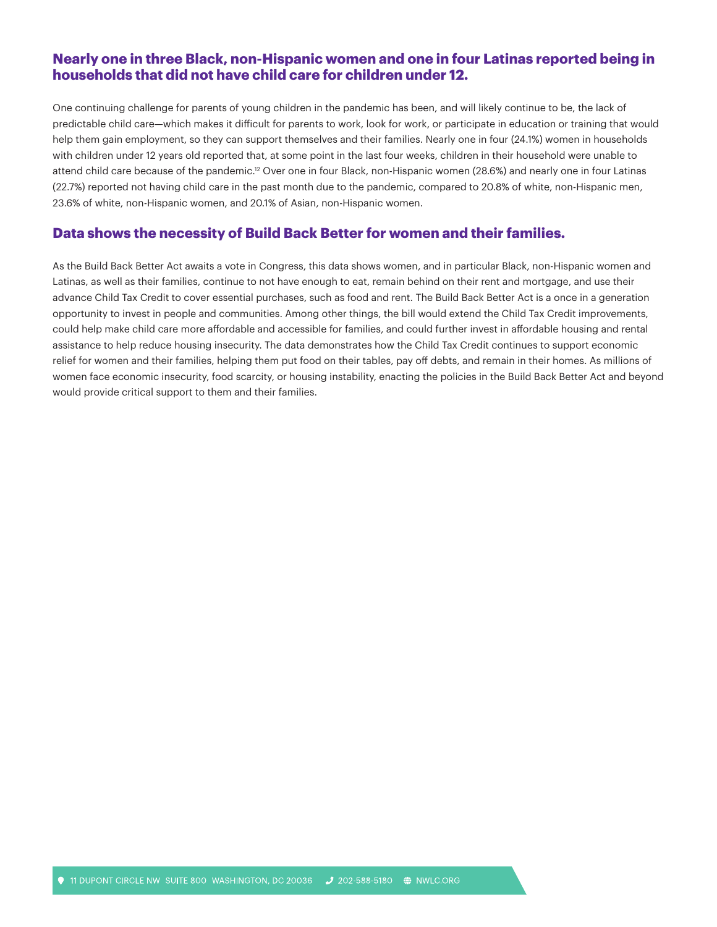#### **Nearly one in three Black, non-Hispanic women and one in four Latinas reported being in households that did not have child care for children under 12.**

One continuing challenge for parents of young children in the pandemic has been, and will likely continue to be, the lack of predictable child care—which makes it difficult for parents to work, look for work, or participate in education or training that would help them gain employment, so they can support themselves and their families. Nearly one in four (24.1%) women in households with children under 12 years old reported that, at some point in the last four weeks, children in their household were unable to attend child care because of the pandemic.12 Over one in four Black, non-Hispanic women (28.6%) and nearly one in four Latinas (22.7%) reported not having child care in the past month due to the pandemic, compared to 20.8% of white, non-Hispanic men, 23.6% of white, non-Hispanic women, and 20.1% of Asian, non-Hispanic women.

#### **Data shows the necessity of Build Back Better for women and their families.**

As the Build Back Better Act awaits a vote in Congress, this data shows women, and in particular Black, non-Hispanic women and Latinas, as well as their families, continue to not have enough to eat, remain behind on their rent and mortgage, and use their advance Child Tax Credit to cover essential purchases, such as food and rent. The Build Back Better Act is a once in a generation opportunity to invest in people and communities. Among other things, the bill would extend the Child Tax Credit improvements, could help make child care more affordable and accessible for families, and could further invest in affordable housing and rental assistance to help reduce housing insecurity. The data demonstrates how the Child Tax Credit continues to support economic relief for women and their families, helping them put food on their tables, pay off debts, and remain in their homes. As millions of women face economic insecurity, food scarcity, or housing instability, enacting the policies in the Build Back Better Act and beyond would provide critical support to them and their families.